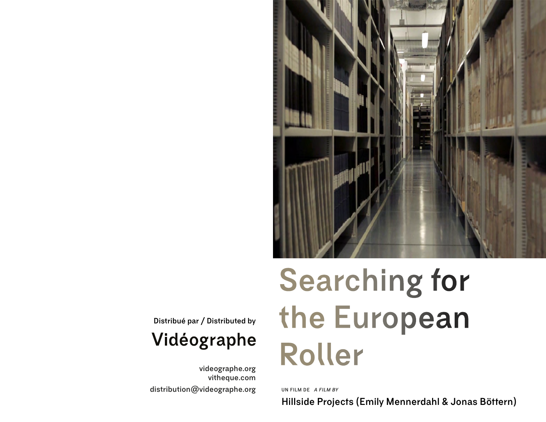

**Distribué par / Distributed by** 

# Vidéographe

**[videographe.org](https://www.videographe.org/) [vitheque.com](https://vitheque.com/fr) [distribution@videographe.org](mailto:?subject=)**

# **Searching for the European Roller**

**UN FILM DE** *A FILM BY*

**Hillside Projects (Emily Mennerdahl & Jonas Böttern)**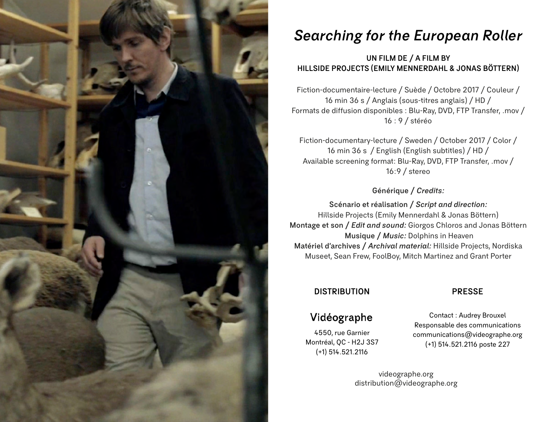

## *Searching for the European Roller*

#### **UN FILM DE / A FILM BY HILLSIDE PROJECTS (EMILY MENNERDAHL & JONAS BÖTTERN)**

Fiction-documentaire-lecture / Suède / Octobre 2017 / Couleur / 16 min 36 s / Anglais (sous-titres anglais) / HD / Formats de diffusion disponibles : Blu-Ray, DVD, FTP Transfer, .mov / 16 : 9 / stéréo

Fiction-documentary-lecture / Sweden / October 2017 / Color / 16 min 36 s / English (English subtitles) / HD / Available screening format: Blu-Ray, DVD, FTP Transfer, .mov / 16:9 / stereo

#### **Générique /** *Credits:*

**Scénario et réalisation /** *Script and direction:*  Hillside Projects (Emily Mennerdahl & Jonas Böttern) **Montage et son /** *Edit and sound:* Giorgos Chloros and Jonas Böttern  **Musique /** *Music:* Dolphins in Heaven **Matériel d'archives /** *Archival material:* Hillside Projects, Nordiska Museet, Sean Frew, FoolBoy, Mitch Martinez and Grant Porter

#### **DISTRIBUTION PRESSE**

### Vidéographe

4550, rue Garnier Montréal, QC - H2J 3S7 (+1) 514.521.2116

Contact : Audrey Brouxel Responsable des communications [communications@videographe.org](mailto:?subject=) (+1) 514.521.2116 poste 227

[videographe.org](https://www.videographe.org/) [distribution@videographe.org](http://distribution@videographe.org)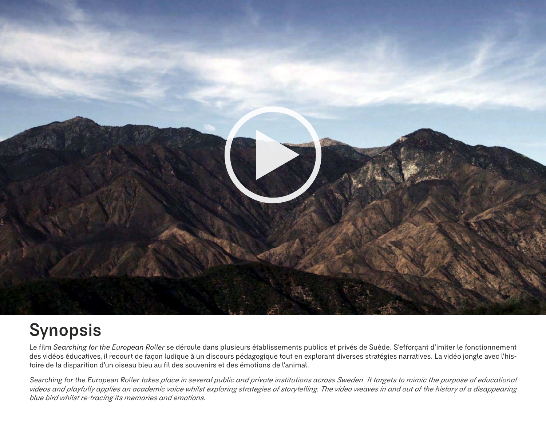

# **Synopsis**

Le film *Searching for the European Roller* se déroule dans plusieurs établissements publics et privés de Suède. S'efforçant d'imiter le fonctionnement des vidéos éducatives, il recourt de façon ludique à un discours pédagogique tout en explorant diverses stratégies narratives. La vidéo jongle avec l'histoire de la disparition d'un oiseau bleu au fil des souvenirs et des émotions de l'animal.

Searching for the European Roller *takes place in several public and private institutions across Sweden. It targets to mimic the purpose of educational videos and playfully applies an academic voice whilst exploring strategies of storytelling. The video weaves in and out of the history of a disappearing blue bird whilst re-tracing its memories and emotions.*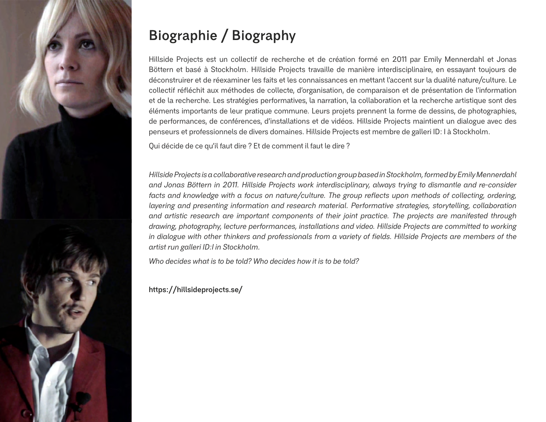

# **Biographie / Biography**

Hillside Projects est un collectif de recherche et de création formé en 2011 par Emily Mennerdahl et Jonas Böttern et basé à Stockholm. Hillside Projects travaille de manière interdisciplinaire, en essayant toujours de déconstruirer et de réexaminer les faits et les connaissances en mettant l'accent sur la dualité nature/culture. Le collectif réfléchit aux méthodes de collecte, d'organisation, de comparaison et de présentation de l'information et de la recherche. Les stratégies performatives, la narration, la collaboration et la recherche artistique sont des éléments importants de leur pratique commune. Leurs projets prennent la forme de dessins, de photographies, de performances, de conférences, d'installations et de vidéos. Hillside Projects maintient un dialogue avec des penseurs et professionnels de divers domaines. Hillside Projects est membre de galleri ID: I à Stockholm.

Qui décide de ce qu'il faut dire ? Et de comment il faut le dire ?

*Hillside Projects is a collaborative research and production group based in Stockholm, formed by Emily Mennerdahl and Jonas Böttern in 2011. Hillside Projects work interdisciplinary, always trying to dismantle and re-consider facts and knowledge with a focus on nature/culture. The group reflects upon methods of collecting, ordering, layering and presenting information and research material. Performative strategies, storytelling, collaboration and artistic research are important components of their joint practice. The projects are manifested through drawing, photography, lecture performances, installations and video. Hillside Projects are committed to working in dialogue with other thinkers and professionals from a variety of fields. Hillside Projects are members of the artist run galleri ID:I in Stockholm.*

*Who decides what is to be told? Who decides how it is to be told?*

**<https://hillsideprojects.se/>**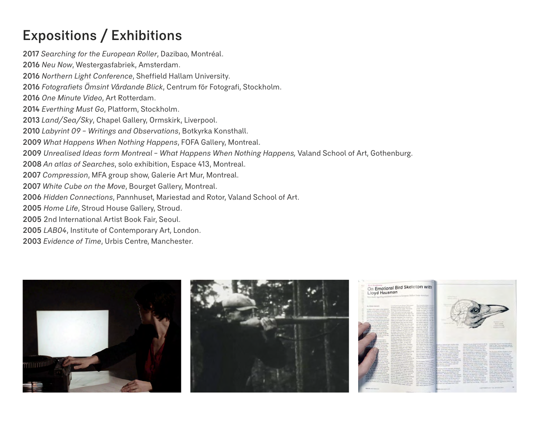# **Expositions / Exhibitions**

 *Searching for the European Roller*, Dazibao, Montréal. *Neu Now*, Westergasfabriek, Amsterdam. *Northern Light Conference*, Sheffield Hallam University. *Fotografiets Ömsint Vårdande Blick*, Centrum för Fotografi, Stockholm. *One Minute Video*, Art Rotterdam. *Everthing Must Go*, Platform, Stockholm. *Land/Sea/Sky*, Chapel Gallery, Ormskirk, Liverpool. *Labyrint 09 – Writings and Observations*, Botkyrka Konsthall. *What Happens When Nothing Happens*, FOFA Gallery, Montreal. *Unrealised Ideas form Montreal – What Happens When Nothing Happens,* Valand School of Art, Gothenburg. *An atlas of Searches*, solo exhibition, Espace 413, Montreal. *Compression*, MFA group show, Galerie Art Mur, Montreal. *White Cube on the Move*, Bourget Gallery, Montreal. *Hidden Connections*, Pannhuset, Mariestad and Rotor, Valand School of Art. *Home Life*, Stroud House Gallery, Stroud. 2nd International Artist Book Fair, Seoul. *LAB04*, Institute of Contemporary Art, London. *Evidence of Time*, Urbis Centre, Manchester.